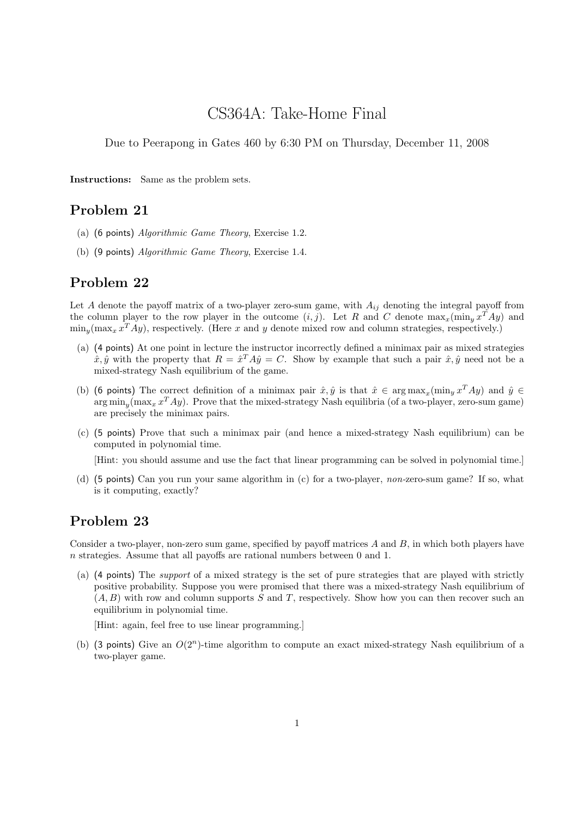# CS364A: Take-Home Final

Due to Peerapong in Gates 460 by 6:30 PM on Thursday, December 11, 2008

Instructions: Same as the problem sets.

## Problem 21

- (a) (6 points) Algorithmic Game Theory, Exercise 1.2.
- (b) (9 points) Algorithmic Game Theory, Exercise 1.4.

### Problem 22

Let A denote the payoff matrix of a two-player zero-sum game, with  $A_{ij}$  denoting the integral payoff from the column player to the row player in the outcome  $(i, j)$ . Let R and C denote  $\max_x(\min_y x^T A y)$  and  $\min_y(\max_x x^T A y)$ , respectively. (Here x and y denote mixed row and column strategies, respectively.)

- (a) (4 points) At one point in lecture the instructor incorrectly defined a minimax pair as mixed strategies  $\hat{x}, \hat{y}$  with the property that  $R = \hat{x}^T A \hat{y} = C$ . Show by example that such a pair  $\hat{x}, \hat{y}$  need not be a mixed-strategy Nash equilibrium of the game.
- (b) (6 points) The correct definition of a minimax pair  $\hat{x}, \hat{y}$  is that  $\hat{x} \in \arg \max_x (\min_y x^T A y)$  and  $\hat{y} \in$  $\arg\min_y(\max_x x^T A y)$ . Prove that the mixed-strategy Nash equilibria (of a two-player, zero-sum game) are precisely the minimax pairs.
- (c) (5 points) Prove that such a minimax pair (and hence a mixed-strategy Nash equilibrium) can be computed in polynomial time.

[Hint: you should assume and use the fact that linear programming can be solved in polynomial time.]

(d) (5 points) Can you run your same algorithm in (c) for a two-player, non-zero-sum game? If so, what is it computing, exactly?

### Problem 23

Consider a two-player, non-zero sum game, specified by payoff matrices A and B, in which both players have n strategies. Assume that all payoffs are rational numbers between 0 and 1.

(a) (4 points) The support of a mixed strategy is the set of pure strategies that are played with strictly positive probability. Suppose you were promised that there was a mixed-strategy Nash equilibrium of  $(A, B)$  with row and column supports S and T, respectively. Show how you can then recover such an equilibrium in polynomial time.

[Hint: again, feel free to use linear programming.]

(b) (3 points) Give an  $O(2^n)$ -time algorithm to compute an exact mixed-strategy Nash equilibrium of a two-player game.